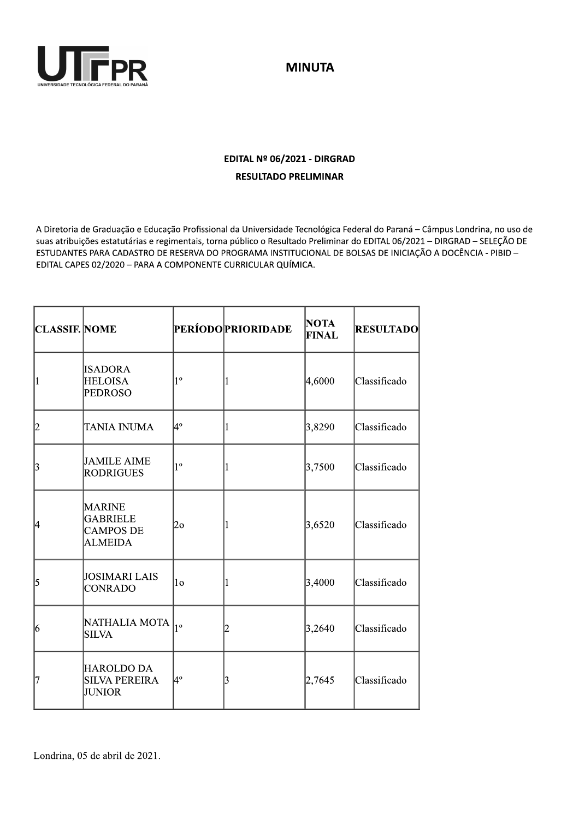

**MINUTA** 

## EDITAL Nº 06/2021 - DIRGRAD **RESULTADO PRELIMINAR**

A Diretoria de Graduação e Educação Profissional da Universidade Tecnológica Federal do Paraná - Câmpus Londrina, no uso de suas atribuições estatutárias e regimentais, torna público o Resultado Preliminar do EDITAL 06/2021 - DIRGRAD - SELEÇÃO DE ESTUDANTES PARA CADASTRO DE RESERVA DO PROGRAMA INSTITUCIONAL DE BOLSAS DE INICIAÇÃO A DOCÊNCIA - PIBID -EDITAL CAPES 02/2020 - PARA A COMPONENTE CURRICULAR QUÍMICA.

| <b>CLASSIF. NOME</b> |                                                                        |                | <b>PERÍODO PRIORIDADE</b> | <b>NOTA</b><br><b>FINAL</b> | <b>RESULTADO</b> |
|----------------------|------------------------------------------------------------------------|----------------|---------------------------|-----------------------------|------------------|
| l1                   | <b>ISADORA</b><br><b>HELOISA</b><br>PEDROSO                            | $1^{\circ}$    |                           | 4,6000                      | Classificado     |
| 12                   | TANIA INUMA                                                            | 4°             |                           | 3,8290                      | Classificado     |
| 3                    | <b>JAMILE AIME</b><br>RODRIGUES                                        | $1^{\circ}$    |                           | 3,7500                      | Classificado     |
| 4                    | <b>MARINE</b><br><b>GABRIELE</b><br><b>CAMPOS DE</b><br><b>ALMEIDA</b> | 20             |                           | 3,6520                      | Classificado     |
| 5                    | <b>JOSIMARI LAIS</b><br><b>CONRADO</b>                                 | 1 <sub>0</sub> |                           | 3,4000                      | Classificado     |
| 16                   | NATHALIA MOTA<br><b>SILVA</b>                                          | $ 1^{\circ}$   | 2                         | 3,2640                      | Classificado     |
| 17                   | HAROLDO DA<br><b>SILVA PEREIRA</b><br>JUNIOR                           | 4º             | 13                        | 2,7645                      | Classificado     |